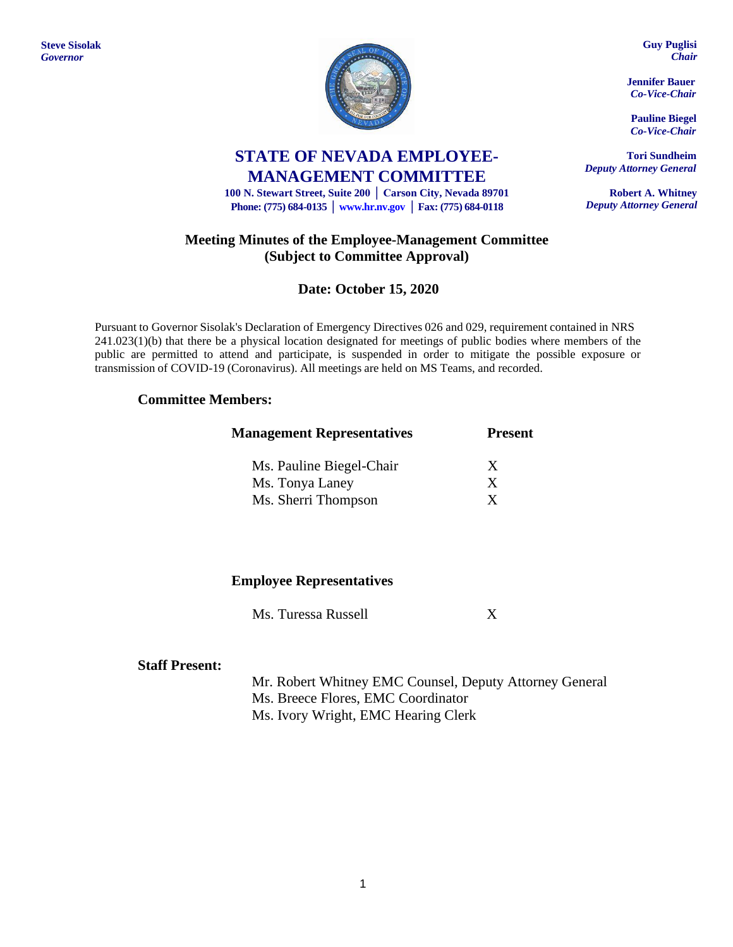**Steve Sisolak** *Governor*



# **STATE OF NEVADA EMPLOYEE-MANAGEMENT COMMITTEE**

**100 N. Stewart Street, Suite 200 │ Carson City, Nevada 89701 Phone: (775) 684-0135 │ [www.hr.nv.gov](http://www.hr.nv.gov/) │ Fax: (775) 684-0118**

## **Meeting Minutes of the Employee-Management Committee (Subject to Committee Approval)**

# **Date: October 15, 2020**

Pursuant to Governor Sisolak's Declaration of Emergency Directives 026 and 029, requirement contained in NRS 241.023(1)(b) that there be a physical location designated for meetings of public bodies where members of the public are permitted to attend and participate, is suspended in order to mitigate the possible exposure or transmission of COVID-19 (Coronavirus). All meetings are held on MS Teams, and recorded.

### **Committee Members:**

| <b>Management Representatives</b> | <b>Present</b> |  |
|-----------------------------------|----------------|--|
| Ms. Pauline Biegel-Chair          | X              |  |
| Ms. Tonya Laney                   | X              |  |
| Ms. Sherri Thompson               | X              |  |

### **Employee Representatives**

Ms. Turessa Russell X

#### **Staff Present:**

Mr. Robert Whitney EMC Counsel, Deputy Attorney General Ms. Breece Flores, EMC Coordinator Ms. Ivory Wright, EMC Hearing Clerk

**Guy Puglisi** *Chair*

**Jennifer Bauer** *Co-Vice-Chair*

**Pauline Biegel** *Co-Vice-Chair*

**Tori Sundheim** *Deputy Attorney General*

**Robert A. Whitney** *Deputy Attorney General*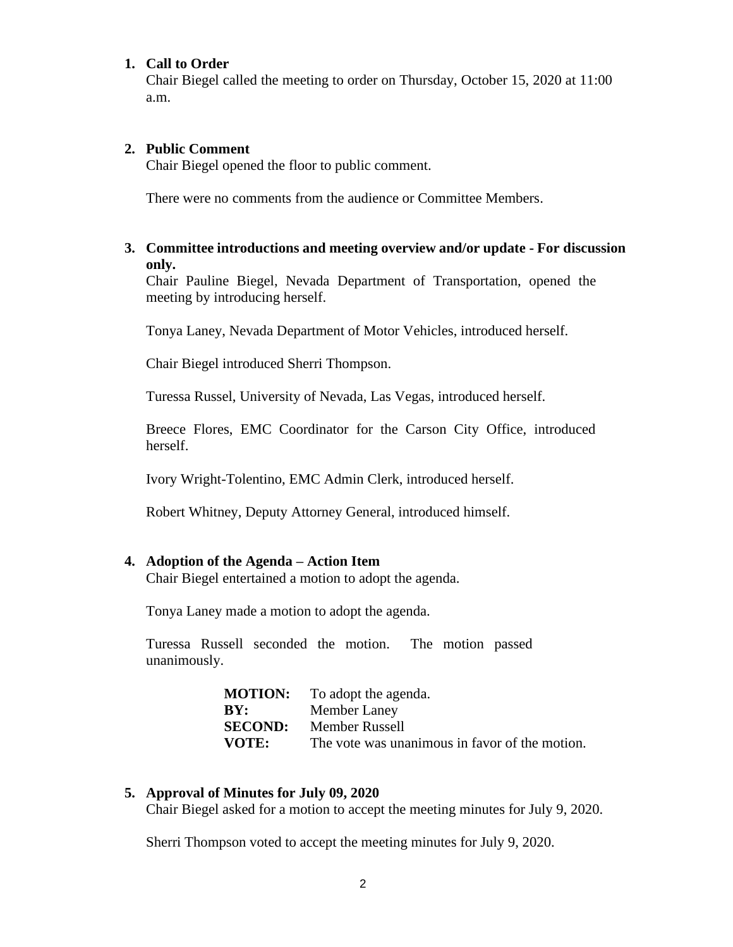#### **1. Call to Order**

Chair Biegel called the meeting to order on Thursday, October 15, 2020 at 11:00 a.m.

#### **2. Public Comment**

Chair Biegel opened the floor to public comment.

There were no comments from the audience or Committee Members.

### **3. Committee introductions and meeting overview and/or update - For discussion only.**

Chair Pauline Biegel, Nevada Department of Transportation, opened the meeting by introducing herself.

Tonya Laney, Nevada Department of Motor Vehicles, introduced herself.

Chair Biegel introduced Sherri Thompson.

Turessa Russel, University of Nevada, Las Vegas, introduced herself.

Breece Flores, EMC Coordinator for the Carson City Office, introduced herself.

Ivory Wright-Tolentino, EMC Admin Clerk, introduced herself.

Robert Whitney, Deputy Attorney General, introduced himself.

#### **4. Adoption of the Agenda – Action Item**

Chair Biegel entertained a motion to adopt the agenda.

Tonya Laney made a motion to adopt the agenda.

Turessa Russell seconded the motion. The motion passed unanimously.

| <b>MOTION:</b> | To adopt the agenda.                           |
|----------------|------------------------------------------------|
| BY:            | Member Laney                                   |
| <b>SECOND:</b> | Member Russell                                 |
| <b>VOTE:</b>   | The vote was unanimous in favor of the motion. |

### **5. Approval of Minutes for July 09, 2020**

Chair Biegel asked for a motion to accept the meeting minutes for July 9, 2020.

Sherri Thompson voted to accept the meeting minutes for July 9, 2020.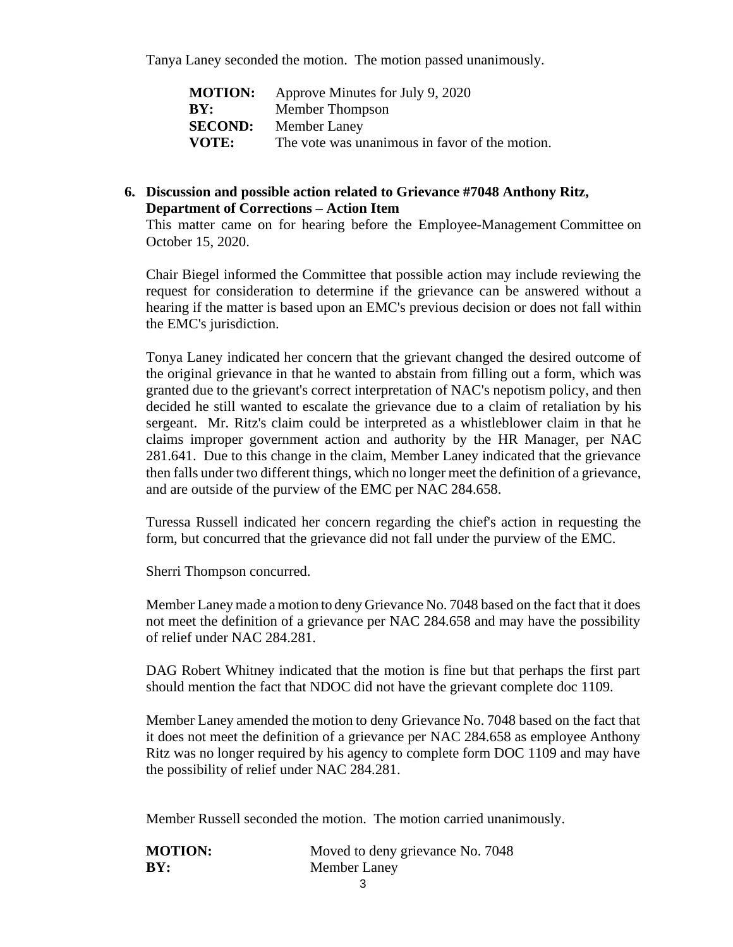Tanya Laney seconded the motion. The motion passed unanimously.

| <b>MOTION:</b> | Approve Minutes for July 9, 2020               |
|----------------|------------------------------------------------|
| BY:            | Member Thompson                                |
| <b>SECOND:</b> | Member Laney                                   |
| VOTE:          | The vote was unanimous in favor of the motion. |

## **6. Discussion and possible action related to Grievance #7048 Anthony Ritz, Department of Corrections – Action Item**

This matter came on for hearing before the Employee-Management Committee on October 15, 2020.

Chair Biegel informed the Committee that possible action may include reviewing the request for consideration to determine if the grievance can be answered without a hearing if the matter is based upon an EMC's previous decision or does not fall within the EMC's jurisdiction.

Tonya Laney indicated her concern that the grievant changed the desired outcome of the original grievance in that he wanted to abstain from filling out a form, which was granted due to the grievant's correct interpretation of NAC's nepotism policy, and then decided he still wanted to escalate the grievance due to a claim of retaliation by his sergeant. Mr. Ritz's claim could be interpreted as a whistleblower claim in that he claims improper government action and authority by the HR Manager, per NAC 281.641. Due to this change in the claim, Member Laney indicated that the grievance then falls under two different things, which no longer meet the definition of a grievance, and are outside of the purview of the EMC per NAC 284.658.

Turessa Russell indicated her concern regarding the chief's action in requesting the form, but concurred that the grievance did not fall under the purview of the EMC.

Sherri Thompson concurred.

Member Laney made a motion to deny Grievance No. 7048 based on the fact that it does not meet the definition of a grievance per NAC 284.658 and may have the possibility of relief under NAC 284.281.

DAG Robert Whitney indicated that the motion is fine but that perhaps the first part should mention the fact that NDOC did not have the grievant complete doc 1109.

Member Laney amended the motion to deny Grievance No. 7048 based on the fact that it does not meet the definition of a grievance per NAC 284.658 as employee Anthony Ritz was no longer required by his agency to complete form DOC 1109 and may have the possibility of relief under NAC 284.281.

Member Russell seconded the motion. The motion carried unanimously.

| <b>MOTION:</b> | Moved to deny grievance No. 7048 |
|----------------|----------------------------------|
| BY:            | Member Laney                     |
|                |                                  |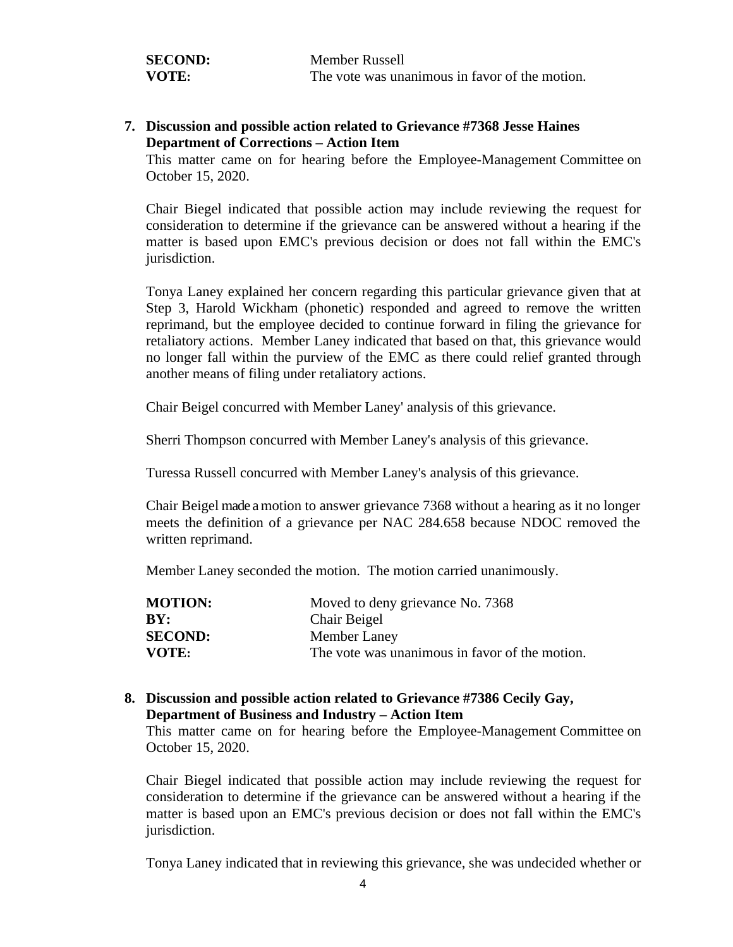| <b>SECOND:</b> | <b>Member Russell</b>                          |
|----------------|------------------------------------------------|
| VOTE:          | The vote was unanimous in favor of the motion. |

### **7. Discussion and possible action related to Grievance #7368 Jesse Haines Department of Corrections – Action Item**

This matter came on for hearing before the Employee-Management Committee on October 15, 2020.

Chair Biegel indicated that possible action may include reviewing the request for consideration to determine if the grievance can be answered without a hearing if the matter is based upon EMC's previous decision or does not fall within the EMC's jurisdiction.

Tonya Laney explained her concern regarding this particular grievance given that at Step 3, Harold Wickham (phonetic) responded and agreed to remove the written reprimand, but the employee decided to continue forward in filing the grievance for retaliatory actions. Member Laney indicated that based on that, this grievance would no longer fall within the purview of the EMC as there could relief granted through another means of filing under retaliatory actions.

Chair Beigel concurred with Member Laney' analysis of this grievance.

Sherri Thompson concurred with Member Laney's analysis of this grievance.

Turessa Russell concurred with Member Laney's analysis of this grievance.

Chair Beigel made a motion to answer grievance 7368 without a hearing as it no longer meets the definition of a grievance per NAC 284.658 because NDOC removed the written reprimand.

Member Laney seconded the motion. The motion carried unanimously.

| <b>MOTION:</b> | Moved to deny grievance No. 7368               |
|----------------|------------------------------------------------|
| BY:            | Chair Beigel                                   |
| <b>SECOND:</b> | Member Laney                                   |
| VOTE:          | The vote was unanimous in favor of the motion. |

#### **8. Discussion and possible action related to Grievance #7386 Cecily Gay, Department of Business and Industry – Action Item**

This matter came on for hearing before the Employee-Management Committee on October 15, 2020.

Chair Biegel indicated that possible action may include reviewing the request for consideration to determine if the grievance can be answered without a hearing if the matter is based upon an EMC's previous decision or does not fall within the EMC's jurisdiction.

Tonya Laney indicated that in reviewing this grievance, she was undecided whether or